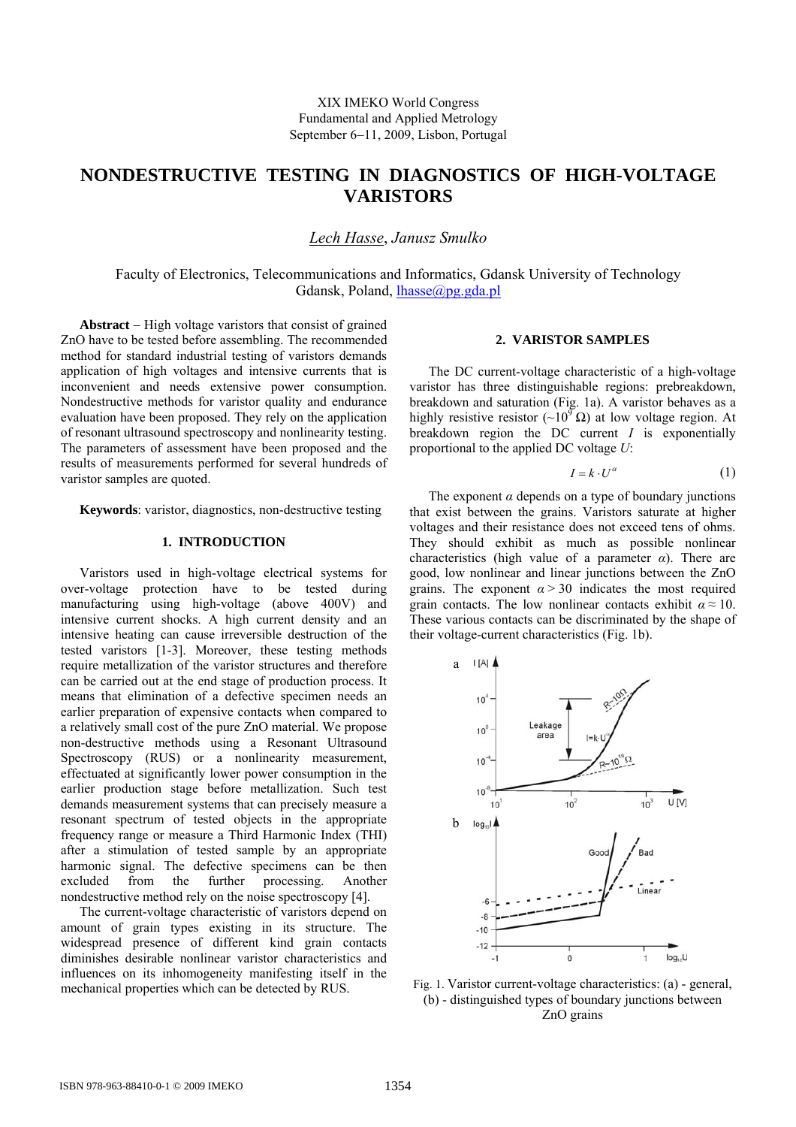# **NONDESTRUCTIVE TESTING IN DIAGNOSTICS OF HIGH-VOLTAGE VARISTORS**

*Lech Hasse*, *Janusz Smulko* 

Faculty of Electronics, Telecommunications and Informatics, Gdansk University of Technology Gdansk, Poland, [lhasse@pg.gda.pl](mailto:lhasse@pg.gda.pl)

**Abstract** − High voltage varistors that consist of grained ZnO have to be tested before assembling. The recommended method for standard industrial testing of varistors demands application of high voltages and intensive currents that is inconvenient and needs extensive power consumption. Nondestructive methods for varistor quality and endurance evaluation have been proposed. They rely on the application of resonant ultrasound spectroscopy and nonlinearity testing. The parameters of assessment have been proposed and the results of measurements performed for several hundreds of varistor samples are quoted.

**Keywords**: varistor, diagnostics, non-destructive testing

#### **1. INTRODUCTION**

Varistors used in high-voltage electrical systems for over-voltage protection have to be tested during manufacturing using high-voltage (above 400V) and intensive current shocks. A high current density and an intensive heating can cause irreversible destruction of the tested varistors [1-3]. Moreover, these testing methods require metallization of the varistor structures and therefore can be carried out at the end stage of production process. It means that elimination of a defective specimen needs an earlier preparation of expensive contacts when compared to a relatively small cost of the pure ZnO material. We propose non-destructive methods using a Resonant Ultrasound Spectroscopy (RUS) or a nonlinearity measurement, effectuated at significantly lower power consumption in the earlier production stage before metallization. Such test demands measurement systems that can precisely measure a resonant spectrum of tested objects in the appropriate frequency range or measure a Third Harmonic Index (THI) after a stimulation of tested sample by an appropriate harmonic signal. The defective specimens can be then excluded from the further processing. Another nondestructive method rely on the noise spectroscopy [4].

The current-voltage characteristic of varistors depend on amount of grain types existing in its structure. The widespread presence of different kind grain contacts diminishes desirable nonlinear varistor characteristics and influences on its inhomogeneity manifesting itself in the mechanical properties which can be detected by RUS.

#### **2. VARISTOR SAMPLES**

The DC current-voltage characteristic of a high-voltage varistor has three distinguishable regions: prebreakdown, breakdown and saturation (Fig. 1a). A varistor behaves as a highly resistive resistor (~10<sup>9</sup> Ω) at low voltage region. At breakdown region the DC current *I* is exponentially proportional to the applied DC voltage *U*:

$$
I = k \cdot U^{\alpha} \tag{1}
$$

The exponent  $\alpha$  depends on a type of boundary junctions that exist between the grains. Varistors saturate at higher voltages and their resistance does not exceed tens of ohms. They should exhibit as much as possible nonlinear characteristics (high value of a parameter *α*). There are good, low nonlinear and linear junctions between the ZnO grains. The exponent  $\alpha$  > 30 indicates the most required grain contacts. The low nonlinear contacts exhibit  $\alpha \approx 10$ . These various contacts can be discriminated by the shape of their voltage-current characteristics (Fig. 1b).



Fig. 1. Varistor current-voltage characteristics: (a) - general, (b) - distinguished types of boundary junctions between ZnO grains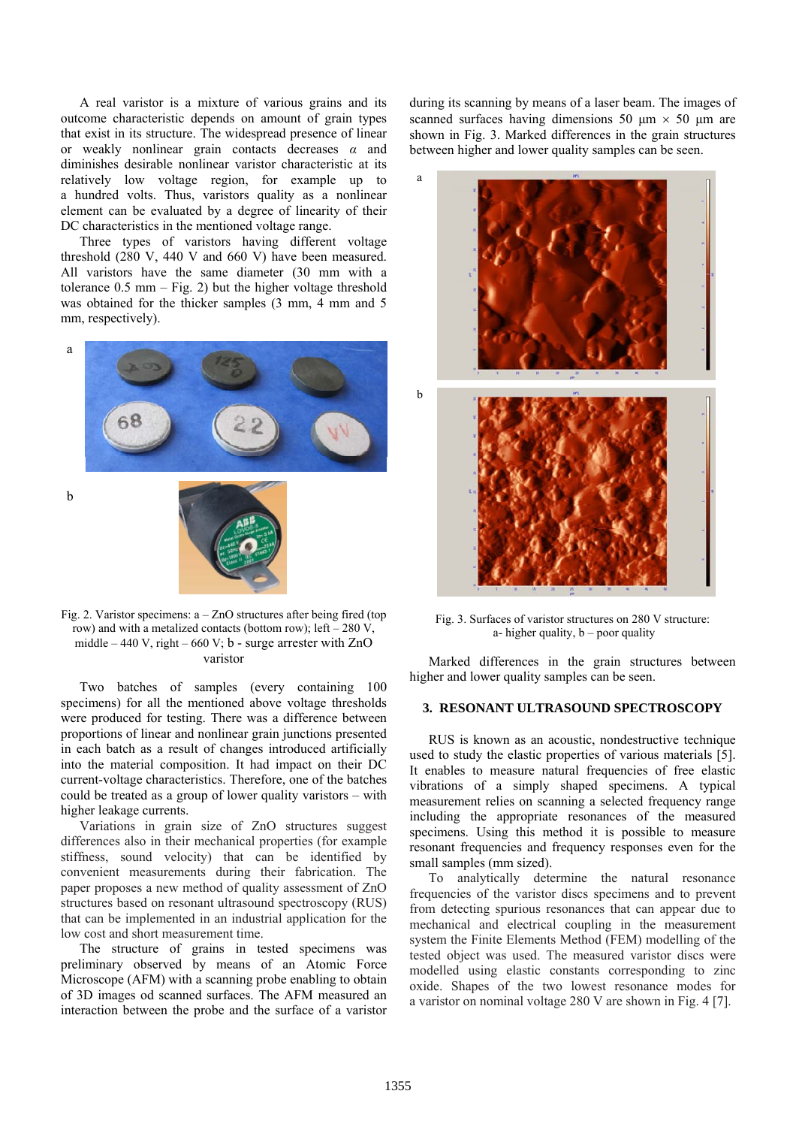A real varistor is a mixture of various grains and its outcome characteristic depends on amount of grain types that exist in its structure. The widespread presence of linear or weakly nonlinear grain contacts decreases *α* and diminishes desirable nonlinear varistor characteristic at its relatively low voltage region, for example up to a hundred volts. Thus, varistors quality as a nonlinear element can be evaluated by a degree of linearity of their DC characteristics in the mentioned voltage range.

Three types of varistors having different voltage threshold (280 V, 440 V and 660 V) have been measured. All varistors have the same diameter (30 mm with a tolerance  $0.5$  mm  $-$  Fig. 2) but the higher voltage threshold was obtained for the thicker samples (3 mm, 4 mm and 5 mm, respectively).



Fig. 2. Varistor specimens:  $a - ZnO$  structures after being fired (top row) and with a metalized contacts (bottom row); left  $-280$  V, middle – 440 V, right – 660 V;  $b$  - surge arrester with ZnO varistor

Two batches of samples (every containing 100 specimens) for all the mentioned above voltage thresholds were produced for testing. There was a difference between proportions of linear and nonlinear grain junctions presented in each batch as a result of changes introduced artificially into the material composition. It had impact on their DC current-voltage characteristics. Therefore, one of the batches could be treated as a group of lower quality varistors – with higher leakage currents.

Variations in grain size of ZnO structures suggest differences also in their mechanical properties (for example stiffness, sound velocity) that can be identified by convenient measurements during their fabrication. The paper proposes a new method of quality assessment of ZnO structures based on resonant ultrasound spectroscopy (RUS) that can be implemented in an industrial application for the low cost and short measurement time.

The structure of grains in tested specimens was preliminary observed by means of an Atomic Force Microscope (AFM) with a scanning probe enabling to obtain of 3D images od scanned surfaces. The AFM measured an interaction between the probe and the surface of a varistor

during its scanning by means of a laser beam. The images of scanned surfaces having dimensions 50  $\mu$ m  $\times$  50  $\mu$ m are shown in Fig. 3. Marked differences in the grain structures between higher and lower quality samples can be seen.



Fig. 3. Surfaces of varistor structures on 280 V structure: a- higher quality,  $b$  – poor quality

Marked differences in the grain structures between higher and lower quality samples can be seen.

## **3. RESONANT ULTRASOUND SPECTROSCOPY**

RUS is known as an acoustic, nondestructive technique used to study the elastic properties of various materials [5]. It enables to measure natural frequencies of free elastic vibrations of a simply shaped specimens. A typical measurement relies on scanning a selected frequency range including the appropriate resonances of the measured specimens. Using this method it is possible to measure resonant frequencies and frequency responses even for the small samples (mm sized).

To analytically determine the natural resonance frequencies of the varistor discs specimens and to prevent from detecting spurious resonances that can appear due to mechanical and electrical coupling in the measurement system the Finite Elements Method (FEM) modelling of the tested object was used. The measured varistor discs were modelled using elastic constants corresponding to zinc oxide. Shapes of the two lowest resonance modes for a varistor on nominal voltage 280 V are shown in Fig. 4 [7].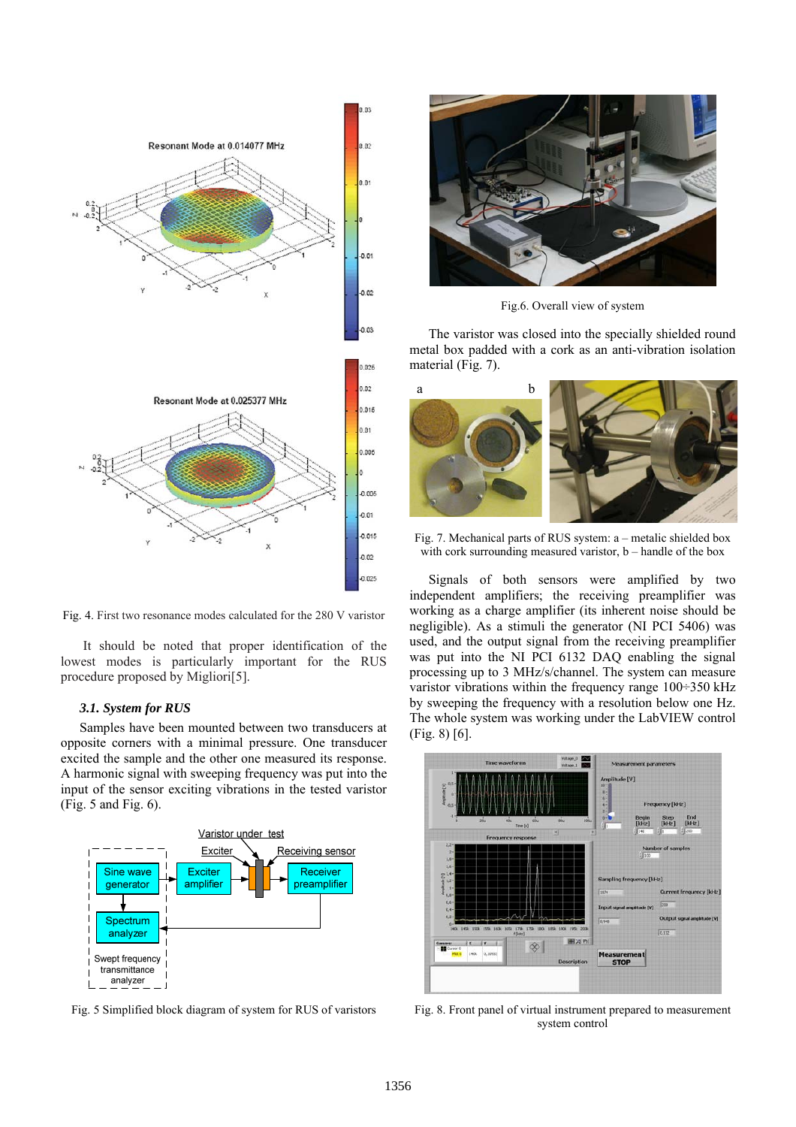

Fig. 4. First two resonance modes calculated for the 280 V varistor

 It should be noted that proper identification of the lowest modes is particularly important for the RUS procedure proposed by Migliori[5].

#### *3.1. System for RUS*

Samples have been mounted between two transducers at opposite corners with a minimal pressure. One transducer excited the sample and the other one measured its response. A harmonic signal with sweeping frequency was put into the input of the sensor exciting vibrations in the tested varistor (Fig. 5 and Fig. 6).



Fig. 5 Simplified block diagram of system for RUS of varistors



Fig.6. Overall view of system

The varistor was closed into the specially shielded round metal box padded with a cork as an anti-vibration isolation material (Fig. 7).



Fig. 7. Mechanical parts of RUS system: a – metalic shielded box with cork surrounding measured varistor, b – handle of the box

Signals of both sensors were amplified by two independent amplifiers; the receiving preamplifier was working as a charge amplifier (its inherent noise should be negligible). As a stimuli the generator (NI PCI 5406) was used, and the output signal from the receiving preamplifier was put into the NI PCI 6132 DAQ enabling the signal processing up to 3 MHz/s/channel. The system can measure varistor vibrations within the frequency range  $100\div 350$  kHz by sweeping the frequency with a resolution below one Hz. The whole system was working under the LabVIEW control (Fig. 8) [6].



Fig. 8. Front panel of virtual instrument prepared to measurement system control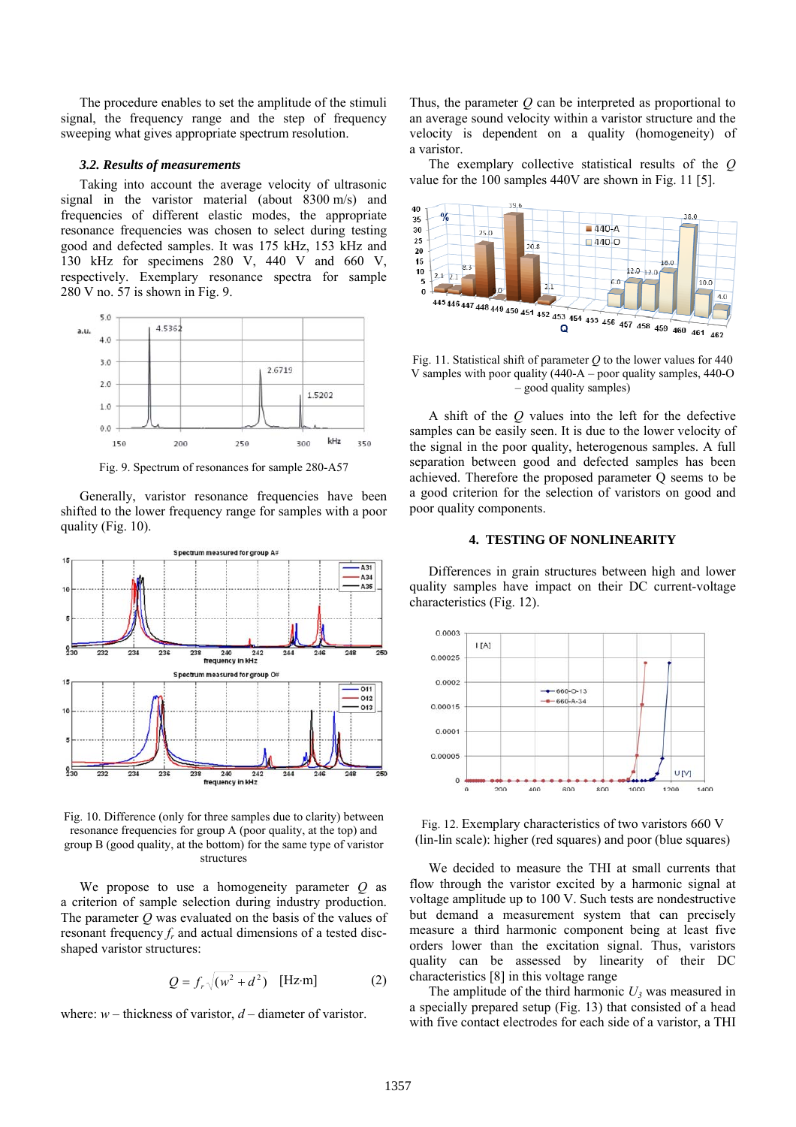The procedure enables to set the amplitude of the stimuli signal, the frequency range and the step of frequency sweeping what gives appropriate spectrum resolution.

#### *3.2. Results of measurements*

Taking into account the average velocity of ultrasonic signal in the varistor material (about 8300 m/s) and frequencies of different elastic modes, the appropriate resonance frequencies was chosen to select during testing good and defected samples. It was 175 kHz, 153 kHz and 130 kHz for specimens 280 V, 440 V and 660 V, respectively. Exemplary resonance spectra for sample 280 V no. 57 is shown in Fig. 9.



Fig. 9. Spectrum of resonances for sample 280-A57

Generally, varistor resonance frequencies have been shifted to the lower frequency range for samples with a poor quality (Fig. 10).



Fig. 10. Difference (only for three samples due to clarity) between resonance frequencies for group A (poor quality, at the top) and group B (good quality, at the bottom) for the same type of varistor structures

We propose to use a homogeneity parameter *Q* as a criterion of sample selection during industry production. The parameter *Q* was evaluated on the basis of the values of resonant frequency  $f_r$  and actual dimensions of a tested discshaped varistor structures:

$$
Q = f_r \sqrt{(w^2 + d^2)} \quad \text{[Hz-m]} \tag{2}
$$

where: *w* – thickness of varistor, *d* – diameter of varistor.

Thus, the parameter *Q* can be interpreted as proportional to an average sound velocity within a varistor structure and the velocity is dependent on a quality (homogeneity) of a varistor.

The exemplary collective statistical results of the *Q* value for the 100 samples 440V are shown in Fig. 11 [5].



Fig. 11. Statistical shift of parameter *Q* to the lower values for 440 V samples with poor quality (440-A – poor quality samples, 440-O – good quality samples)

A shift of the *Q* values into the left for the defective samples can be easily seen. It is due to the lower velocity of the signal in the poor quality, heterogenous samples. A full separation between good and defected samples has been achieved. Therefore the proposed parameter Q seems to be a good criterion for the selection of varistors on good and poor quality components.

### **4. TESTING OF NONLINEARITY**

Differences in grain structures between high and lower quality samples have impact on their DC current-voltage characteristics (Fig. 12).



Fig. 12. Exemplary characteristics of two varistors 660 V (lin-lin scale): higher (red squares) and poor (blue squares)

We decided to measure the THI at small currents that flow through the varistor excited by a harmonic signal at voltage amplitude up to 100 V. Such tests are nondestructive but demand a measurement system that can precisely measure a third harmonic component being at least five orders lower than the excitation signal. Thus, varistors quality can be assessed by linearity of their DC characteristics [8] in this voltage range

The amplitude of the third harmonic  $U_3$  was measured in a specially prepared setup (Fig. 13) that consisted of a head with five contact electrodes for each side of a varistor, a THI